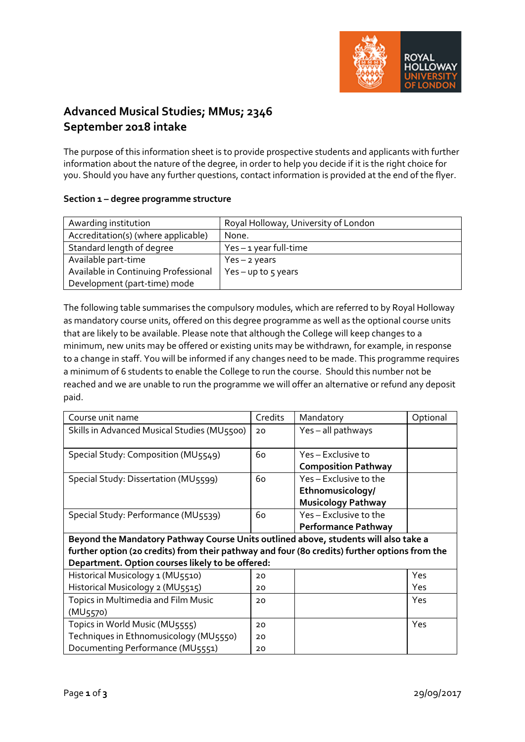

# **Advanced Musical Studies; MMus; 2346 September 2018 intake**

The purpose of this information sheet is to provide prospective students and applicants with further information about the nature of the degree, in order to help you decide if it is the right choice for you. Should you have any further questions, contact information is provided at the end of the flyer.

## **Section 1 – degree programme structure**

| Awarding institution                 | Royal Holloway, University of London |
|--------------------------------------|--------------------------------------|
| Accreditation(s) (where applicable)  | None.                                |
| Standard length of degree            | $Yes - 1 year$ full-time             |
| Available part-time                  | $Yes - 2 years$                      |
| Available in Continuing Professional | Yes - up to $5$ years                |
| Development (part-time) mode         |                                      |

The following table summarises the compulsory modules, which are referred to by Royal Holloway as mandatory course units, offered on this degree programme as well as the optional course units that are likely to be available. Please note that although the College will keep changes to a minimum, new units may be offered or existing units may be withdrawn, for example, in response to a change in staff. You will be informed if any changes need to be made. This programme requires a minimum of 6 students to enable the College to run the course. Should this number not be reached and we are unable to run the programme we will offer an alternative or refund any deposit paid.

| Course unit name                                                                              | <b>Credits</b> | Mandatory                  | Optional |  |  |
|-----------------------------------------------------------------------------------------------|----------------|----------------------------|----------|--|--|
| Skills in Advanced Musical Studies (MU5500)                                                   | 20             | Yes-all pathways           |          |  |  |
|                                                                                               |                |                            |          |  |  |
| Special Study: Composition (MU5549)                                                           | 60             | Yes – Exclusive to         |          |  |  |
|                                                                                               |                | <b>Composition Pathway</b> |          |  |  |
| Special Study: Dissertation (MU5599)                                                          | 60             | Yes - Exclusive to the     |          |  |  |
|                                                                                               |                | Ethnomusicology/           |          |  |  |
|                                                                                               |                | <b>Musicology Pathway</b>  |          |  |  |
| Special Study: Performance (MU5539)                                                           | 60             | Yes-Exclusive to the       |          |  |  |
|                                                                                               |                | <b>Performance Pathway</b> |          |  |  |
| Beyond the Mandatory Pathway Course Units outlined above, students will also take a           |                |                            |          |  |  |
| further option (20 credits) from their pathway and four (80 credits) further options from the |                |                            |          |  |  |
| Department. Option courses likely to be offered:                                              |                |                            |          |  |  |
| Historical Musicology 1 (MU5510)                                                              | 20             |                            | Yes      |  |  |
| Historical Musicology 2 (MU5515)                                                              | 20             |                            | Yes      |  |  |
| Topics in Multimedia and Film Music                                                           | 20             |                            | Yes      |  |  |
| (MU <sub>5570</sub> )                                                                         |                |                            |          |  |  |
| Topics in World Music (MU5555)                                                                | 20             |                            | Yes      |  |  |
| Techniques in Ethnomusicology (MU5550)                                                        | 20             |                            |          |  |  |
| Documenting Performance (MU5551)                                                              | 20             |                            |          |  |  |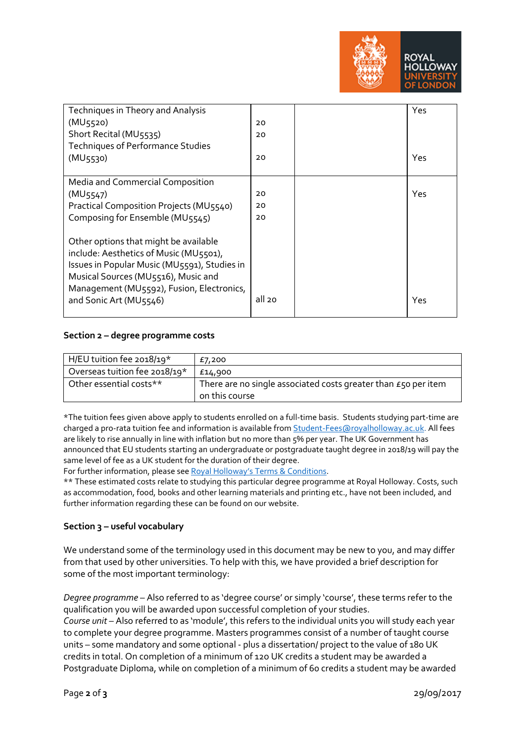

| Techniques in Theory and Analysis            |        | Yes |
|----------------------------------------------|--------|-----|
| (MU <sub>5520</sub> )                        | 20     |     |
| Short Recital (MU5535)                       | 20     |     |
| Techniques of Performance Studies            |        |     |
| (MU <sub>5530</sub> )                        | 20     | Yes |
|                                              |        |     |
| Media and Commercial Composition             |        |     |
| (MU5547)                                     | 20     | Yes |
| Practical Composition Projects (MU5540)      | 20     |     |
| Composing for Ensemble (MU5545)              | 20     |     |
|                                              |        |     |
| Other options that might be available        |        |     |
| include: Aesthetics of Music (MU5501),       |        |     |
| Issues in Popular Music (MU5591), Studies in |        |     |
| Musical Sources (MU5516), Music and          |        |     |
| Management (MU5592), Fusion, Electronics,    |        |     |
| and Sonic Art (MU5546)                       | all 20 | Yes |
|                                              |        |     |

### **Section 2 – degree programme costs**

| H/EU tuition fee 2018/19*     | £7,200                                                                           |
|-------------------------------|----------------------------------------------------------------------------------|
| Overseas tuition fee 2018/19* | £14,900                                                                          |
| Other essential costs**       | There are no single associated costs greater than £50 per item<br>on this course |

\*The tuition fees given above apply to students enrolled on a full-time basis. Students studying part-time are charged a pro-rata tuition fee and information is available fro[m Student-Fees@royalholloway.ac.uk.](mailto:Student-Fees@royalholloway.ac.uk) All fees are likely to rise annually in line with inflation but no more than 5% per year. The UK Government has announced that EU students starting an undergraduate or postgraduate taught degree in 2018/19 will pay the same level of fee as a UK student for the duration of their degree.

For further information, please se[e Royal Holloway's Terms & Conditions.](https://www.royalholloway.ac.uk/studyhere/postgraduate/applying/admissionspolicy.aspx)

\*\* These estimated costs relate to studying this particular degree programme at Royal Holloway. Costs, such as accommodation, food, books and other learning materials and printing etc., have not been included, and further information regarding these can be found on our website.

#### **Section 3 – useful vocabulary**

We understand some of the terminology used in this document may be new to you, and may differ from that used by other universities. To help with this, we have provided a brief description for some of the most important terminology:

*Degree programme* – Also referred to as 'degree course' or simply 'course', these terms refer to the qualification you will be awarded upon successful completion of your studies.

*Course unit* – Also referred to as 'module', this refers to the individual units you will study each year to complete your degree programme. Masters programmes consist of a number of taught course units – some mandatory and some optional - plus a dissertation/ project to the value of 180 UK credits in total. On completion of a minimum of 12o UK credits a student may be awarded a Postgraduate Diploma, while on completion of a minimum of 60 credits a student may be awarded